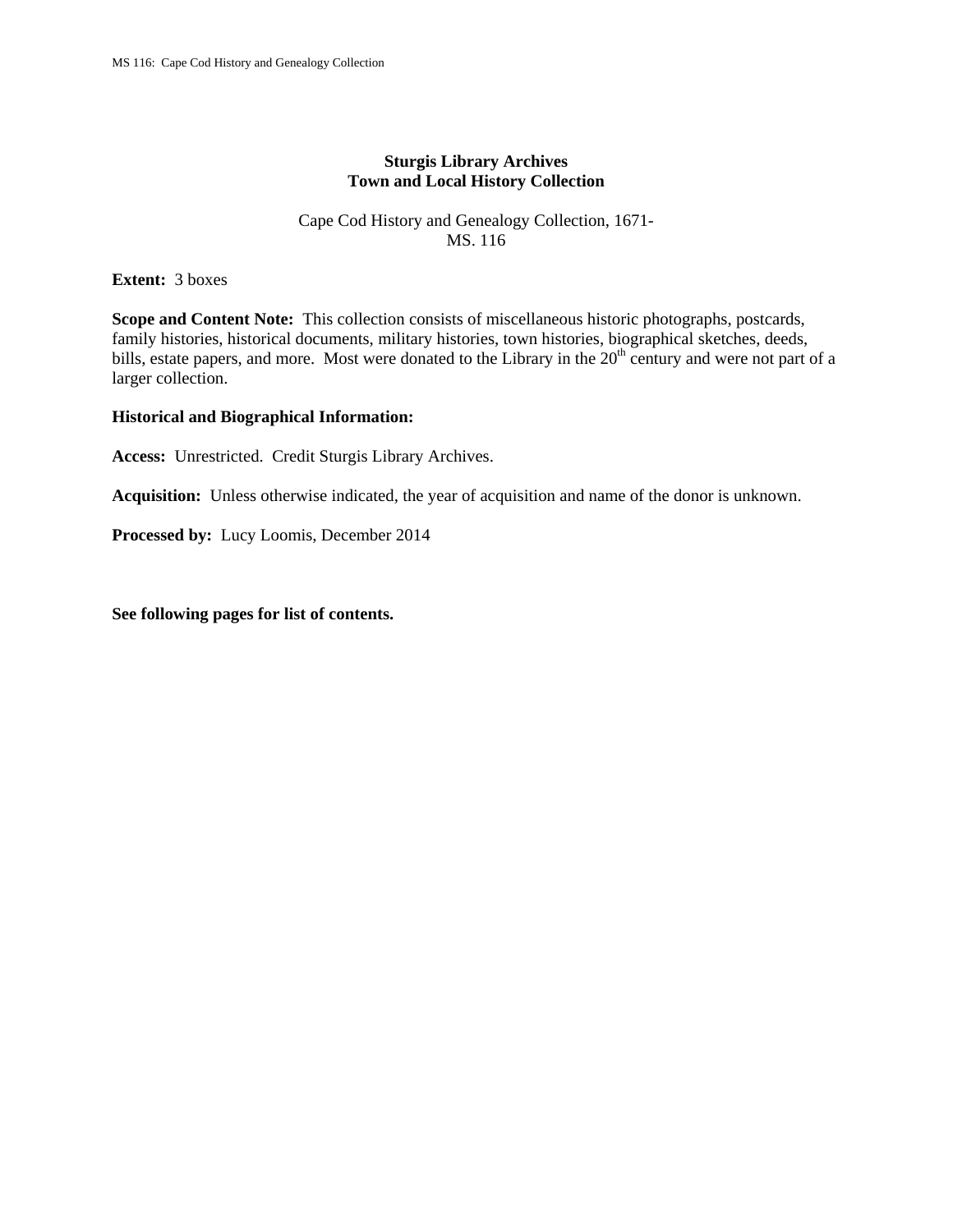## **Sturgis Library Archives Town and Local History Collection**

### Cape Cod History and Genealogy Collection, 1671- MS. 116

**Extent:** 3 boxes

**Scope and Content Note:** This collection consists of miscellaneous historic photographs, postcards, family histories, historical documents, military histories, town histories, biographical sketches, deeds, bills, estate papers, and more. Most were donated to the Library in the 20<sup>th</sup> century and were not part of a larger collection.

#### **Historical and Biographical Information:**

**Access:** Unrestricted. Credit Sturgis Library Archives.

**Acquisition:** Unless otherwise indicated, the year of acquisition and name of the donor is unknown.

**Processed by:** Lucy Loomis, December 2014

**See following pages for list of contents.**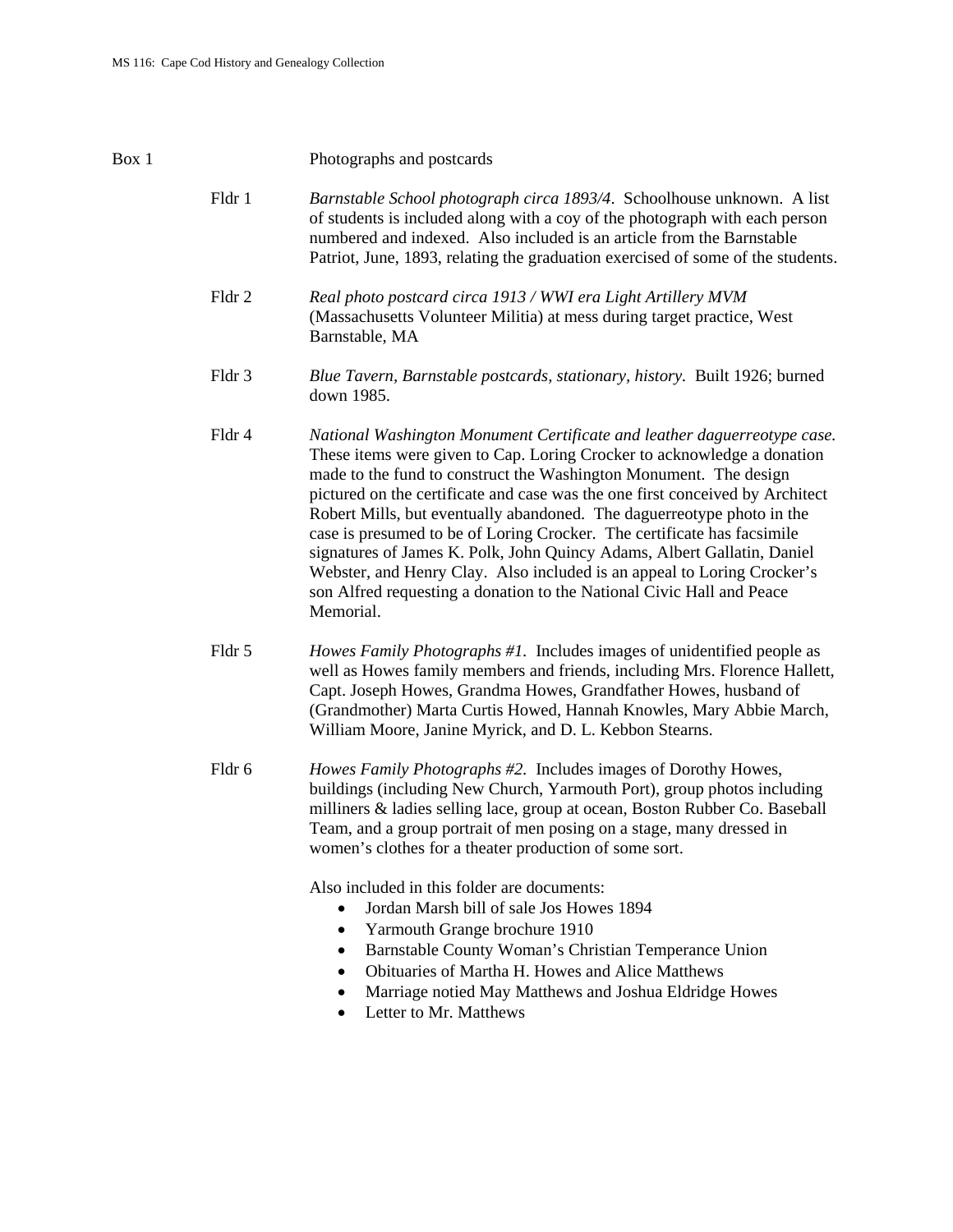#### Box 1 Photographs and postcards

- Fldr 1 *Barnstable School photograph circa 1893/4*. Schoolhouse unknown. A list of students is included along with a coy of the photograph with each person numbered and indexed. Also included is an article from the Barnstable Patriot, June, 1893, relating the graduation exercised of some of the students.
- Fldr 2 *Real photo postcard circa 1913 / WWI era Light Artillery MVM* (Massachusetts Volunteer Militia) at mess during target practice, West Barnstable, MA
- Fldr 3 *Blue Tavern, Barnstable postcards, stationary, history.* Built 1926; burned down 1985.
- Fldr 4 *National Washington Monument Certificate and leather daguerreotype case.* These items were given to Cap. Loring Crocker to acknowledge a donation made to the fund to construct the Washington Monument. The design pictured on the certificate and case was the one first conceived by Architect Robert Mills, but eventually abandoned. The daguerreotype photo in the case is presumed to be of Loring Crocker. The certificate has facsimile signatures of James K. Polk, John Quincy Adams, Albert Gallatin, Daniel Webster, and Henry Clay. Also included is an appeal to Loring Crocker's son Alfred requesting a donation to the National Civic Hall and Peace Memorial.
- Fldr 5 *Howes Family Photographs #1.* Includes images of unidentified people as well as Howes family members and friends, including Mrs. Florence Hallett, Capt. Joseph Howes, Grandma Howes, Grandfather Howes, husband of (Grandmother) Marta Curtis Howed, Hannah Knowles, Mary Abbie March, William Moore, Janine Myrick, and D. L. Kebbon Stearns.
- Fldr 6 *Howes Family Photographs #2.* Includes images of Dorothy Howes, buildings (including New Church, Yarmouth Port), group photos including milliners & ladies selling lace, group at ocean, Boston Rubber Co. Baseball Team, and a group portrait of men posing on a stage, many dressed in women's clothes for a theater production of some sort.

Also included in this folder are documents:

- Jordan Marsh bill of sale Jos Howes 1894
- Yarmouth Grange brochure 1910
- Barnstable County Woman's Christian Temperance Union
- Obituaries of Martha H. Howes and Alice Matthews
- Marriage notied May Matthews and Joshua Eldridge Howes
- Letter to Mr. Matthews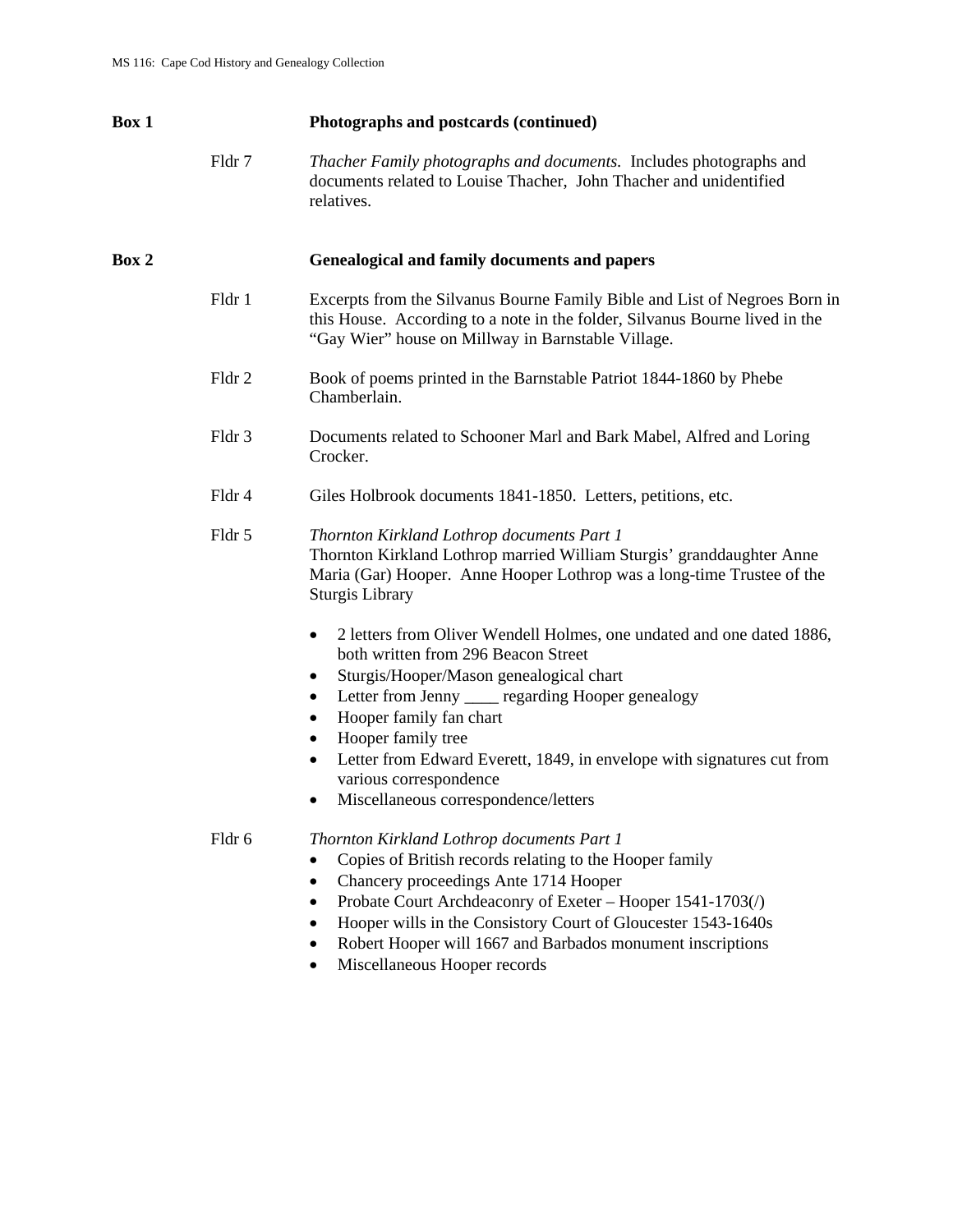| Box 1 |        | Photographs and postcards (continued)                                                                                                                                                                                                                                                                                                                                                                                            |
|-------|--------|----------------------------------------------------------------------------------------------------------------------------------------------------------------------------------------------------------------------------------------------------------------------------------------------------------------------------------------------------------------------------------------------------------------------------------|
|       | Fldr 7 | Thacher Family photographs and documents. Includes photographs and<br>documents related to Louise Thacher, John Thacher and unidentified<br>relatives.                                                                                                                                                                                                                                                                           |
| Box 2 |        | <b>Genealogical and family documents and papers</b>                                                                                                                                                                                                                                                                                                                                                                              |
|       | Fldr 1 | Excerpts from the Silvanus Bourne Family Bible and List of Negroes Born in<br>this House. According to a note in the folder, Silvanus Bourne lived in the<br>"Gay Wier" house on Millway in Barnstable Village.                                                                                                                                                                                                                  |
|       | Fldr 2 | Book of poems printed in the Barnstable Patriot 1844-1860 by Phebe<br>Chamberlain.                                                                                                                                                                                                                                                                                                                                               |
|       | Fldr 3 | Documents related to Schooner Marl and Bark Mabel, Alfred and Loring<br>Crocker.                                                                                                                                                                                                                                                                                                                                                 |
|       | Fldr 4 | Giles Holbrook documents 1841-1850. Letters, petitions, etc.                                                                                                                                                                                                                                                                                                                                                                     |
|       | Fldr 5 | Thornton Kirkland Lothrop documents Part 1<br>Thornton Kirkland Lothrop married William Sturgis' granddaughter Anne<br>Maria (Gar) Hooper. Anne Hooper Lothrop was a long-time Trustee of the<br>Sturgis Library                                                                                                                                                                                                                 |
|       |        | 2 letters from Oliver Wendell Holmes, one undated and one dated 1886,<br>٠<br>both written from 296 Beacon Street<br>Sturgis/Hooper/Mason genealogical chart<br>٠<br>Letter from Jenny ____ regarding Hooper genealogy<br>Hooper family fan chart<br>Hooper family tree<br>Letter from Edward Everett, 1849, in envelope with signatures cut from<br>$\bullet$<br>various correspondence<br>Miscellaneous correspondence/letters |
|       | Fldr 6 | Thornton Kirkland Lothrop documents Part 1<br>Copies of British records relating to the Hooper family<br>Chancery proceedings Ante 1714 Hooper<br>Probate Court Archdeaconry of Exeter - Hooper 1541-1703(/)<br>Hooper wills in the Consistory Court of Gloucester 1543-1640s<br>Robert Hooper will 1667 and Barbados monument inscriptions<br>Miscellaneous Hooper records                                                      |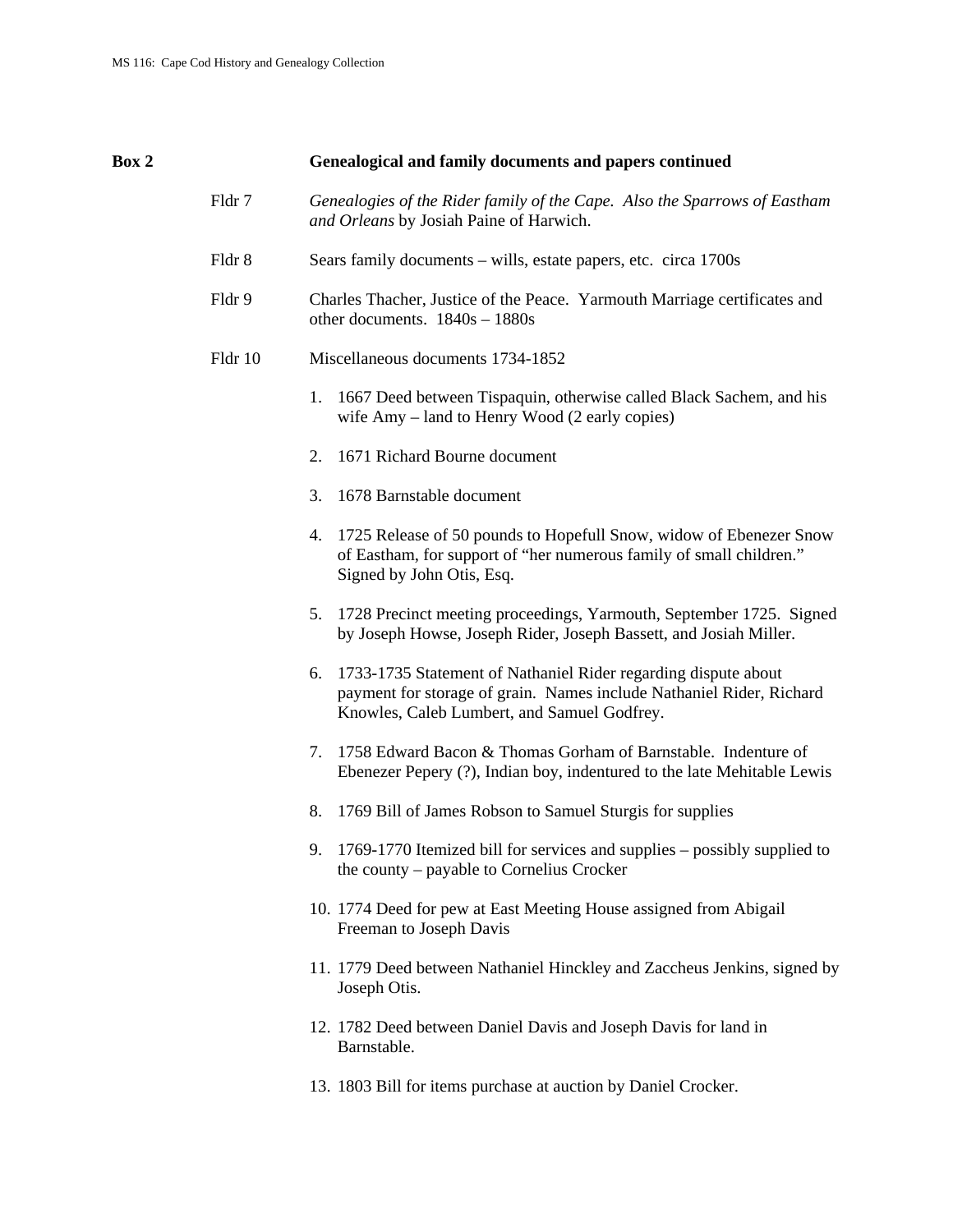| Box 2 |         | Genealogical and family documents and papers continued                                                                                                                                      |
|-------|---------|---------------------------------------------------------------------------------------------------------------------------------------------------------------------------------------------|
|       | Fldr 7  | Genealogies of the Rider family of the Cape. Also the Sparrows of Eastham<br>and Orleans by Josiah Paine of Harwich.                                                                        |
|       | Fldr 8  | Sears family documents – wills, estate papers, etc. circa 1700s                                                                                                                             |
|       | Fldr 9  | Charles Thacher, Justice of the Peace. Yarmouth Marriage certificates and<br>other documents. $1840s - 1880s$                                                                               |
|       | Fldr 10 | Miscellaneous documents 1734-1852                                                                                                                                                           |
|       |         | 1. 1667 Deed between Tispaquin, otherwise called Black Sachem, and his<br>wife Amy – land to Henry Wood (2 early copies)                                                                    |
|       |         | 1671 Richard Bourne document<br>2.                                                                                                                                                          |
|       |         | 1678 Barnstable document<br>3.                                                                                                                                                              |
|       |         | 1725 Release of 50 pounds to Hopefull Snow, widow of Ebenezer Snow<br>4.<br>of Eastham, for support of "her numerous family of small children."<br>Signed by John Otis, Esq.                |
|       |         | 1728 Precinct meeting proceedings, Yarmouth, September 1725. Signed<br>5.<br>by Joseph Howse, Joseph Rider, Joseph Bassett, and Josiah Miller.                                              |
|       |         | 1733-1735 Statement of Nathaniel Rider regarding dispute about<br>6.<br>payment for storage of grain. Names include Nathaniel Rider, Richard<br>Knowles, Caleb Lumbert, and Samuel Godfrey. |
|       |         | 1758 Edward Bacon & Thomas Gorham of Barnstable. Indenture of<br>7.<br>Ebenezer Pepery (?), Indian boy, indentured to the late Mehitable Lewis                                              |
|       |         | 8.<br>1769 Bill of James Robson to Samuel Sturgis for supplies                                                                                                                              |
|       |         | 9. 1769-1770 Itemized bill for services and supplies – possibly supplied to<br>the county – payable to Cornelius Crocker                                                                    |
|       |         | 10. 1774 Deed for pew at East Meeting House assigned from Abigail<br>Freeman to Joseph Davis                                                                                                |
|       |         | 11. 1779 Deed between Nathaniel Hinckley and Zaccheus Jenkins, signed by<br>Joseph Otis.                                                                                                    |
|       |         | 12. 1782 Deed between Daniel Davis and Joseph Davis for land in<br>Barnstable.                                                                                                              |
|       |         | 13. 1803 Bill for items purchase at auction by Daniel Crocker.                                                                                                                              |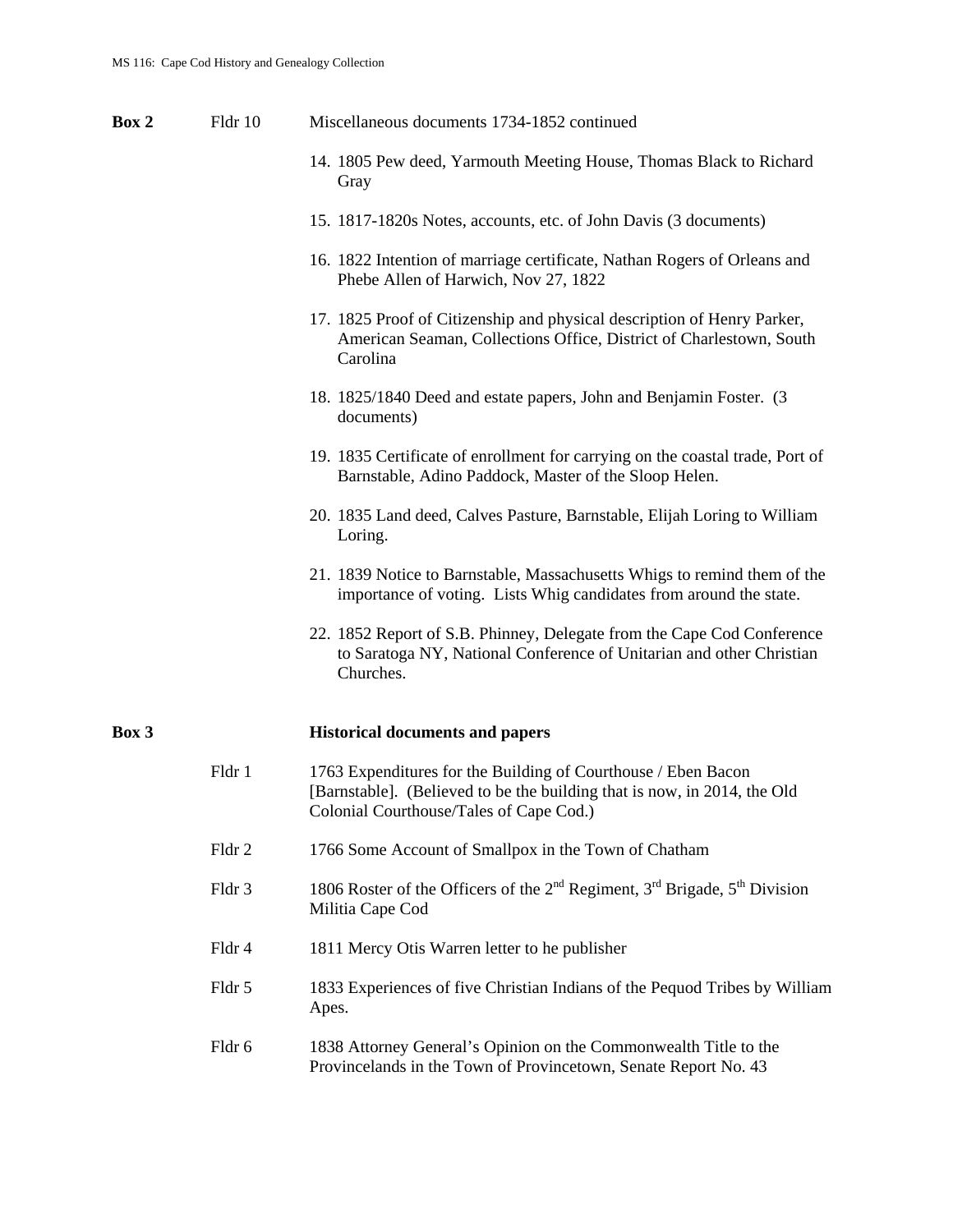**Box 2** Fldr 10 Miscellaneous documents 1734-1852 continued 14. 1805 Pew deed, Yarmouth Meeting House, Thomas Black to Richard Gray 15. 1817-1820s Notes, accounts, etc. of John Davis (3 documents) 16. 1822 Intention of marriage certificate, Nathan Rogers of Orleans and Phebe Allen of Harwich, Nov 27, 1822 17. 1825 Proof of Citizenship and physical description of Henry Parker, American Seaman, Collections Office, District of Charlestown, South Carolina 18. 1825/1840 Deed and estate papers, John and Benjamin Foster. (3 documents) 19. 1835 Certificate of enrollment for carrying on the coastal trade, Port of Barnstable, Adino Paddock, Master of the Sloop Helen. 20. 1835 Land deed, Calves Pasture, Barnstable, Elijah Loring to William Loring. 21. 1839 Notice to Barnstable, Massachusetts Whigs to remind them of the importance of voting. Lists Whig candidates from around the state. 22. 1852 Report of S.B. Phinney, Delegate from the Cape Cod Conference to Saratoga NY, National Conference of Unitarian and other Christian Churches. **Box 3 Historical documents and papers**  Fldr 1 1763 Expenditures for the Building of Courthouse / Eben Bacon [Barnstable]. (Believed to be the building that is now, in 2014, the Old Colonial Courthouse/Tales of Cape Cod.) Fldr 2 1766 Some Account of Smallpox in the Town of Chatham Fldr 3 1806 Roster of the Officers of the  $2<sup>nd</sup>$  Regiment,  $3<sup>rd</sup>$  Brigade,  $5<sup>th</sup>$  Division Militia Cape Cod Fldr 4 1811 Mercy Otis Warren letter to he publisher Fldr 5 1833 Experiences of five Christian Indians of the Pequod Tribes by William Apes. Fldr 6 1838 Attorney General's Opinion on the Commonwealth Title to the Provincelands in the Town of Provincetown, Senate Report No. 43